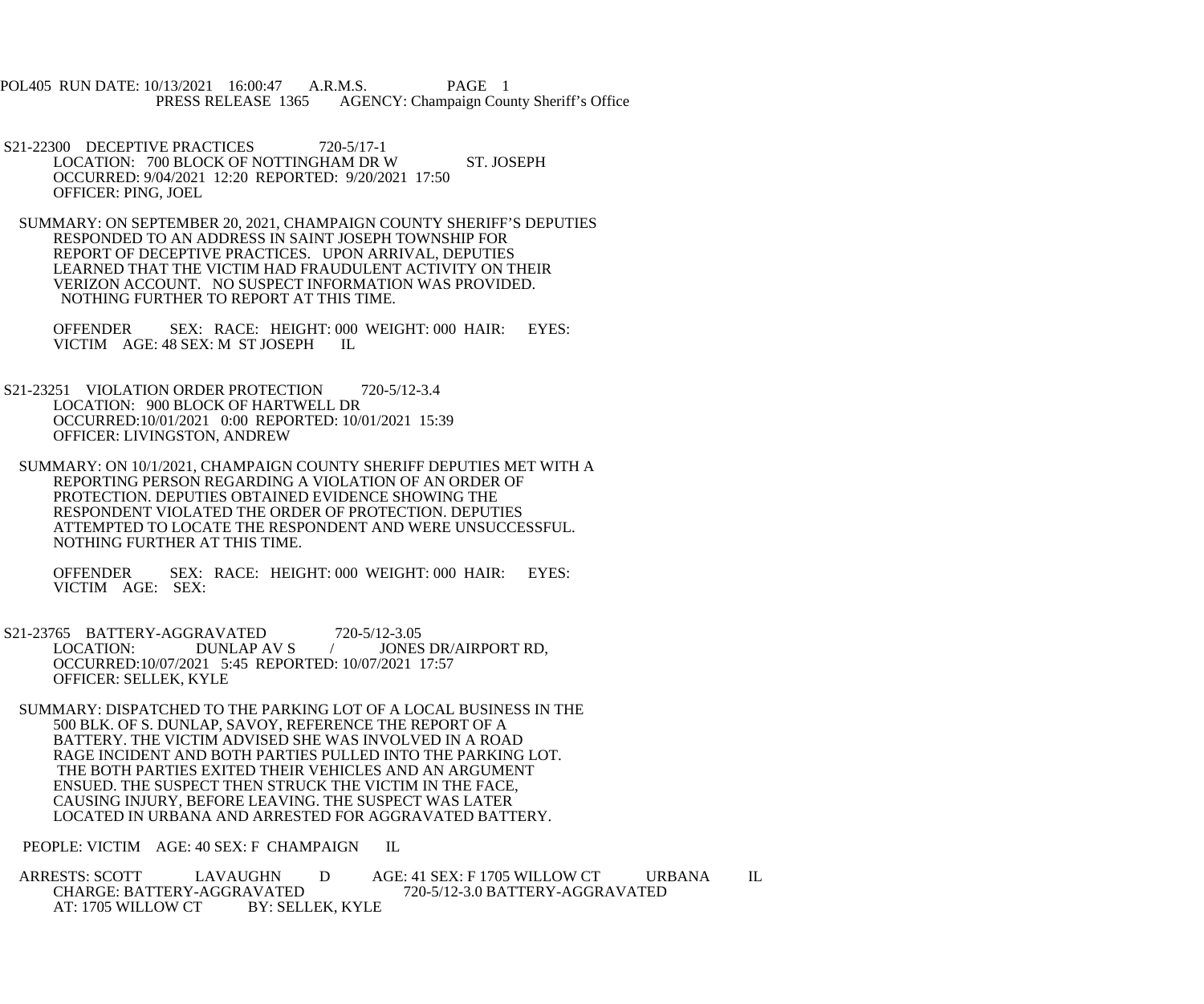POL405 RUN DATE: 10/13/2021 16:00:47 A.R.M.S. PAGE 1<br>PRESS RELEASE 1365 AGENCY: Champaign Cou AGENCY: Champaign County Sheriff's Office

- S21-22300 DECEPTIVE PRACTICES 720-5/17-1 LOCATION: 700 BLOCK OF NOTTINGHAM DR W ST. JOSEPH OCCURRED: 9/04/2021 12:20 REPORTED: 9/20/2021 17:50 OFFICER: PING, JOEL
- SUMMARY: ON SEPTEMBER 20, 2021, CHAMPAIGN COUNTY SHERIFF'S DEPUTIES RESPONDED TO AN ADDRESS IN SAINT JOSEPH TOWNSHIP FOR REPORT OF DECEPTIVE PRACTICES. UPON ARRIVAL, DEPUTIES LEARNED THAT THE VICTIM HAD FRAUDULENT ACTIVITY ON THEIR VERIZON ACCOUNT. NO SUSPECT INFORMATION WAS PROVIDED. NOTHING FURTHER TO REPORT AT THIS TIME.

 OFFENDER SEX: RACE: HEIGHT: 000 WEIGHT: 000 HAIR: EYES: VICTIM AGE: 48 SEX: M ST JOSEPH IL

- S21-23251 VIOLATION ORDER PROTECTION 720-5/12-3.4 LOCATION: 900 BLOCK OF HARTWELL DR OCCURRED:10/01/2021 0:00 REPORTED: 10/01/2021 15:39 OFFICER: LIVINGSTON, ANDREW
- SUMMARY: ON 10/1/2021, CHAMPAIGN COUNTY SHERIFF DEPUTIES MET WITH A REPORTING PERSON REGARDING A VIOLATION OF AN ORDER OF PROTECTION. DEPUTIES OBTAINED EVIDENCE SHOWING THE RESPONDENT VIOLATED THE ORDER OF PROTECTION. DEPUTIES ATTEMPTED TO LOCATE THE RESPONDENT AND WERE UNSUCCESSFUL. NOTHING FURTHER AT THIS TIME.

 OFFENDER SEX: RACE: HEIGHT: 000 WEIGHT: 000 HAIR: EYES: VICTIM AGE: SEX:

- S21-23765 BATTERY-AGGRAVATED 720-5/12-3.05<br>LOCATION: DUNLAP AV S / JONES LOCATION: DUNLAP AV S / JONES DR/AIRPORT RD, OCCURRED:10/07/2021 5:45 REPORTED: 10/07/2021 17:57 OFFICER: SELLEK, KYLE
- SUMMARY: DISPATCHED TO THE PARKING LOT OF A LOCAL BUSINESS IN THE 500 BLK. OF S. DUNLAP, SAVOY, REFERENCE THE REPORT OF A BATTERY. THE VICTIM ADVISED SHE WAS INVOLVED IN A ROAD RAGE INCIDENT AND BOTH PARTIES PULLED INTO THE PARKING LOT. THE BOTH PARTIES EXITED THEIR VEHICLES AND AN ARGUMENT ENSUED. THE SUSPECT THEN STRUCK THE VICTIM IN THE FACE, CAUSING INJURY, BEFORE LEAVING. THE SUSPECT WAS LATER LOCATED IN URBANA AND ARRESTED FOR AGGRAVATED BATTERY.

PEOPLE: VICTIM AGE: 40 SEX: F CHAMPAIGN IL

ARRESTS: SCOTT LAVAUGHN D AGE: 41 SEX: F 1705 WILLOW CT URBANA IL CHARGE: BATTERY-AGGRAVATED 720-5/12-3.0 BATTERY-AGGRAVATED AVATED 720-5/12-3.0 BATTERY-AGGRAVATED<br>BY: SELLEK. KYLE AT: 1705 WILLOW CT